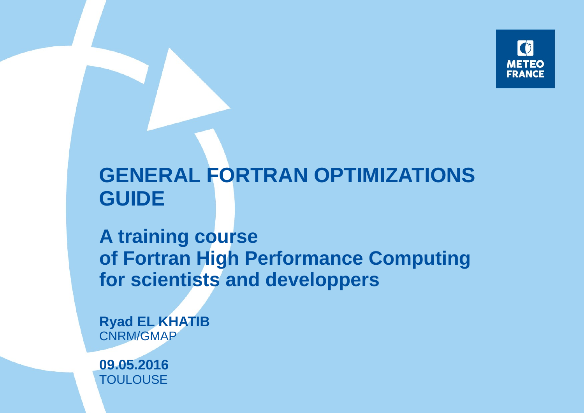

### **GENERAL FORTRAN OPTIMIZATIONS GUIDE**

**A training course of Fortran High Performance Computing for scientists and developpers**

**Ryad EL KHATIB** CNRM/GMAP

**09.05.2016 TOULOUSE**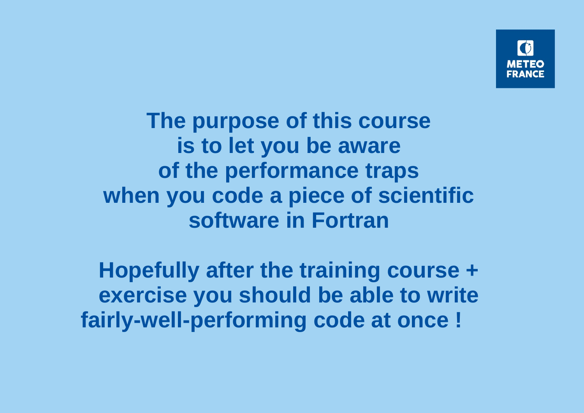

**The purpose of this course is to let you be aware of the performance traps when you code a piece of scientific software in Fortran**

**Hopefully after the training course + exercise you should be able to write fairly-well-performing code at once !**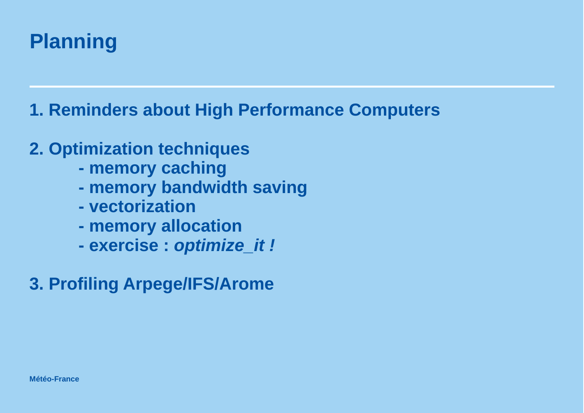### **Planning**

**1. Reminders about High Performance Computers**

### **2. Optimization techniques**

- **memory caching**
- **memory bandwidth saving**
- **vectorization**
- **memory allocation**
- **exercise :** *optimize\_it !*
- **3. Profiling Arpege/IFS/Arome**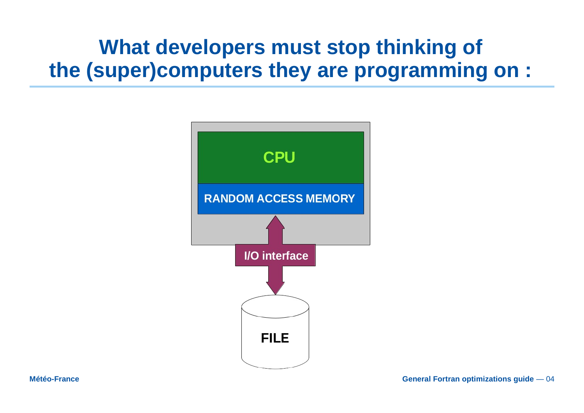### What developers must stop thinking of the (super)computers they are programming on :

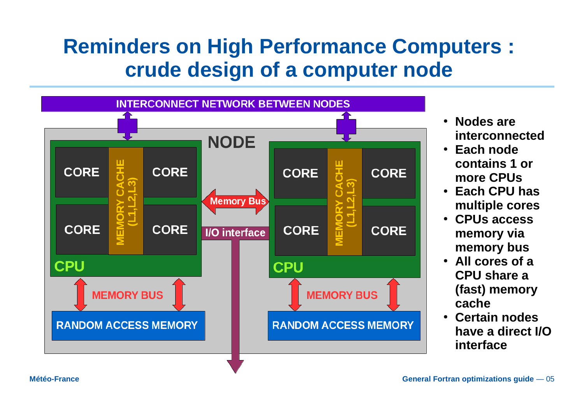### **Reminders on High Performance Computers : crude design of a computer node**



- **Nodes are interconnected**
- **Each node contains 1 or more CPUs**
- **Each CPU has multiple cores**
- **CPUs access memory via memory bus**
- **All cores of a CPU share a (fast) memory cache**
- **Certain nodes have a direct I/O interface**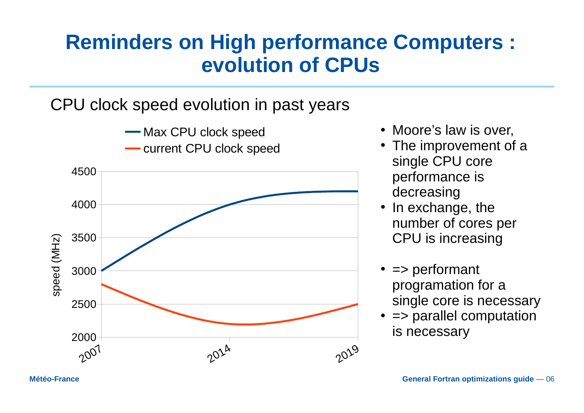# **evolution of CPUs**

### CPU clock speed evolution in past years



- Moore's law is over,
- The improvement of a single CPU core performance is decreasing
- In exchange, the number of cores per CPU is increasing
- $\bullet$  => performant programation for a single core is necessary
- $\cdot$  => parallel computation is necessary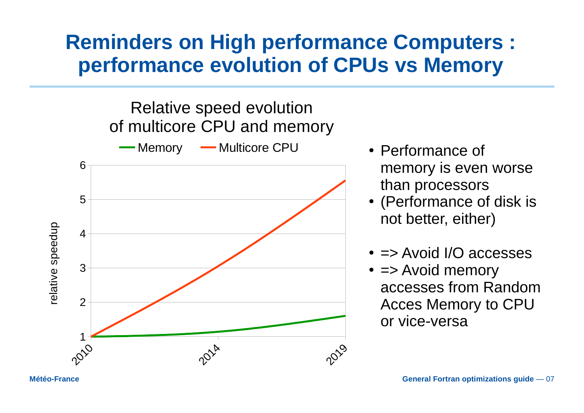### **Reminders on High performance Computers : performance evolution of CPUs vs Memory**



- Performance of memory is even worse than processors
- (Performance of disk is not better, either)
- $\cdot$  => Avoid I/O accesses
- $\bullet$  => Avoid memory accesses from Random Acces Memory to CPU or vice-versa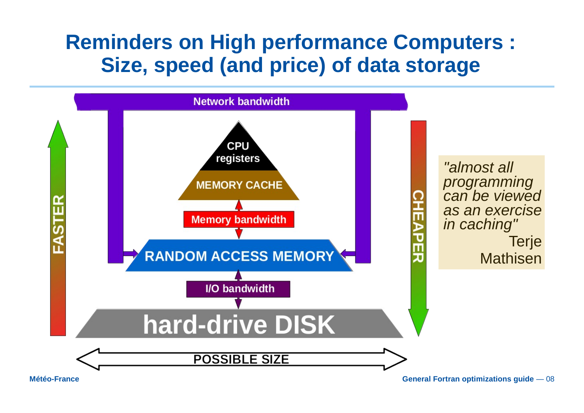### **Reminders on High performance Computers : Size, speed (and price) of data storage**

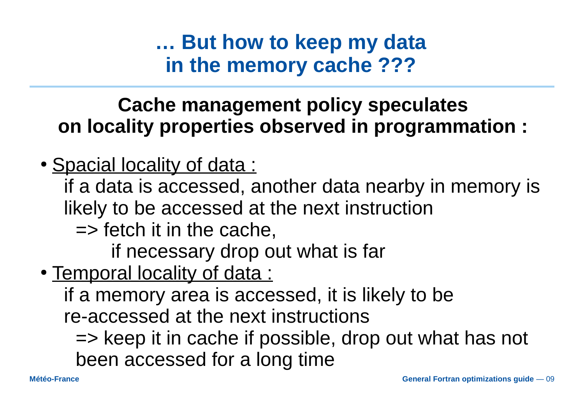**… But how to keep my data in the memory cache ???**

### **Cache management policy speculates on locality properties observed in programmation :**

• Spacial locality of data :

if a data is accessed, another data nearby in memory is likely to be accessed at the next instruction

 $\Rightarrow$  fetch it in the cache,

if necessary drop out what is far

• Temporal locality of data :

if a memory area is accessed, it is likely to be re-accessed at the next instructions

=> keep it in cache if possible, drop out what has not been accessed for a long time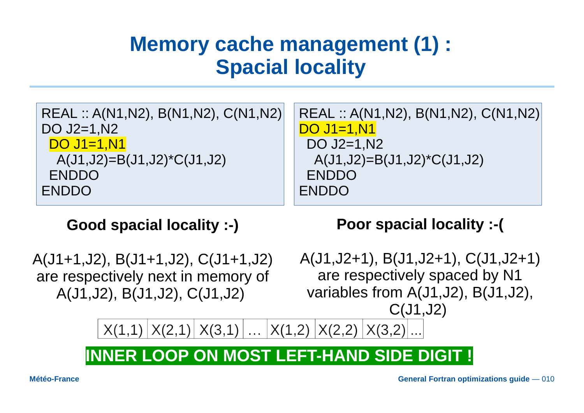### **Memory cache management (1) : Spacial locality**

| REAL :: $A(N1,N2)$ , $B(N1,N2)$ , $C(N1,N2)$ | REAL :: A(N1, N2), B(N1, N2), C(N1, N2) |
|----------------------------------------------|-----------------------------------------|
| DO J2=1, N2                                  | $DO$ J1=1, $N1$                         |
| <b>DO J1=1,N1</b>                            | DO J2=1, N2                             |
| $A(J1,J2)=B(J1,J2)^{\star}C(J1,J2)$          | $A(J1,J2)=B(J1,J2)^{\star}C(J1,J2)$     |
| <b>ENDDO</b>                                 | <b>ENDDO</b>                            |
| <b>ENDDO</b>                                 | <b>ENDDO</b>                            |

#### **Good spacial locality :-)**

A(J1+1,J2), B(J1+1,J2), C(J1+1,J2) are respectively next in memory of A(J1,J2), B(J1,J2), C(J1,J2)

**Poor spacial locality :-(**

A(J1,J2+1), B(J1,J2+1), C(J1,J2+1) are respectively spaced by N1 variables from A(J1,J2), B(J1,J2), C(J1,J2)

 $X(1,1) |X(2,1)| X(3,1) | ... |X(1,2) |X(2,2) |X(3,2)$ 

#### **INNER LOOP ON MOST LEFT-HAND SIDE DIGIT !**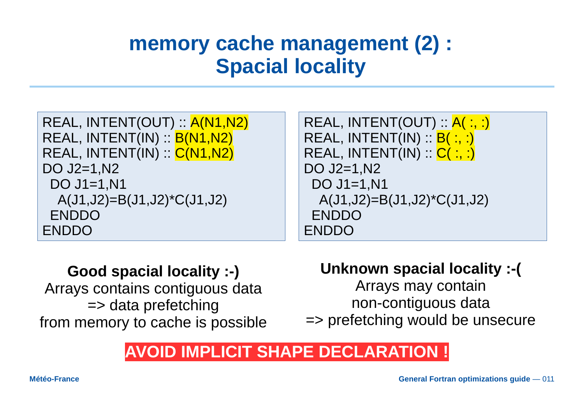### **memory cache management (2) : Spacial locality**

| REAL, INTENT(OUT) :: A(N1,N2)       |
|-------------------------------------|
| REAL, INTENT(IN) :: <b>B(N1,N2)</b> |
| REAL, INTENT(IN) :: C(N1,N2)        |
| DO J2=1, N2                         |
| DO J1=1, N1                         |
| $A(J1,J2)=B(J1,J2)^{\star}C(J1,J2)$ |
| <b>ENDDO</b>                        |
| <b>ENDDO</b>                        |

```
REAL, INTENT(OUT) :: A(:,:)REAL, INTENT(IN) :: B( :, :)REAL, INTENT(IN) :: C( :, :)
DO J2=1,N2
  DO J1=1,N1
   A(J1,J2)=B(J1,J2)*C(J1,J2)
  ENDDO
ENDDO
```
#### **Good spacial locality :-)**

Arrays contains contiguous data => data prefetching from memory to cache is possible

#### **Unknown spacial locality :-(**

Arrays may contain non-contiguous data

=> prefetching would be unsecure

### **AVOID IMPLICIT SHAPE DECLARATION !**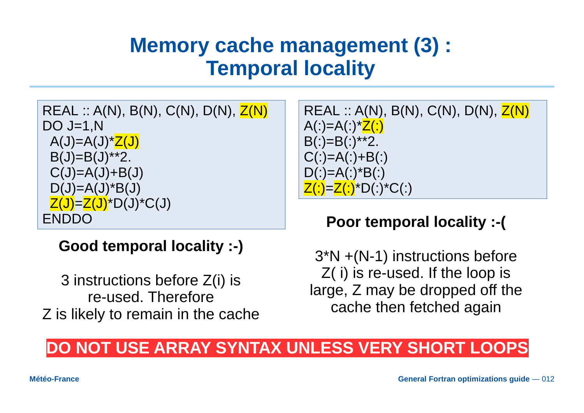### **Memory cache management (3) : Temporal locality**

REAL ::  $A(N)$ ,  $B(N)$ ,  $C(N)$ ,  $D(N)$ ,  $Z(N)$ DO J=1,N  $A(J) = A(J)^*Z(J)$  $B(J)=B(J)$ \*\*2.  $C(J)=A(J)+B(J)$  $D(J)=A(J)^*B(J)$  $Z(J) = Z(J) * D(J) * C(J)$ ENDDO

**Good temporal locality :-)**

3 instructions before Z(i) is re-used. Therefore Z is likely to remain in the cache

REAL :: A(N), B(N), C(N), D(N), Z(N) A(:)=A(:)\*Z(:) B(:)=B(:)\*\*2. C(:)=A(:)+B(:) D(:)=A(:)\*B(:) Z(:)=Z(:)\*D(:)\*C(:)

#### **Poor temporal locality :-(**

3\*N +(N-1) instructions before Z( i) is re-used. If the loop is large, Z may be dropped off the cache then fetched again

### **DO NOT USE ARRAY SYNTAX UNLESS VERY SHORT LOOPS**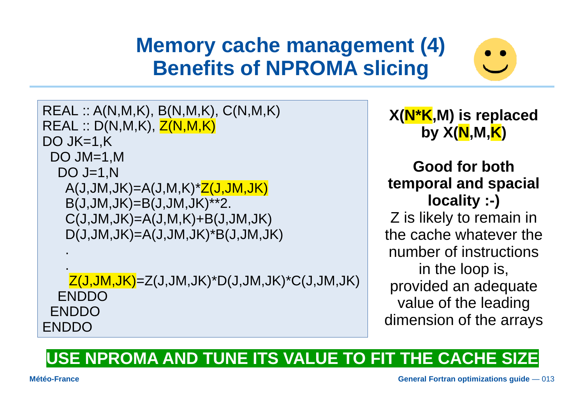### **Memory cache management (4) Benefits of NPROMA slicing**



REAL :: A(N,M,K), B(N,M,K), C(N,M,K)  $REAL :: D(N,M,K), Z(N,M,K)$ DO JK=1,K DO JM=1,M DO J=1,N  $A(J,JM,JK)=A(J,M,K)^{\star}Z(J,JM,JK)$  B(J,JM,JK)=B(J,JM,JK)\*\*2.  $C(J, JM, JK) = A(J, M, K) + B(J, JM, JK)$  D(J,JM,JK)=A(J,JM,JK)\*B(J,JM,JK) .

 .  $Z(J,JM,JK)=Z(J,JM,JK)^*D(J,JM,JK)^*C(J,JM,JK)$  ENDDO ENDDO ENDDO

**X(N\*K,M) is replaced by X(N,M,K)**

**Good for both temporal and spacial locality :-)** Z is likely to remain in the cache whatever the number of instructions in the loop is, provided an adequate value of the leading dimension of the arrays

#### **USE NPROMA AND TUNE ITS VALUE TO FIT THE CACHE SIZE**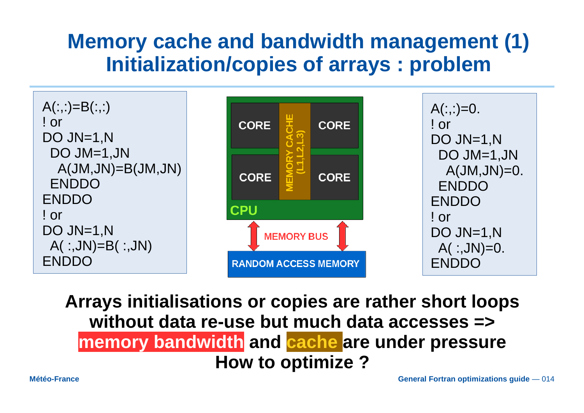### **Memory cache and bandwidth management (1) Initialization/copies of arrays : problem**



**Arrays initialisations or copies are rather short loops without data re-use but much data accesses => memory bandwidth and cache are under pressure How to optimize ?**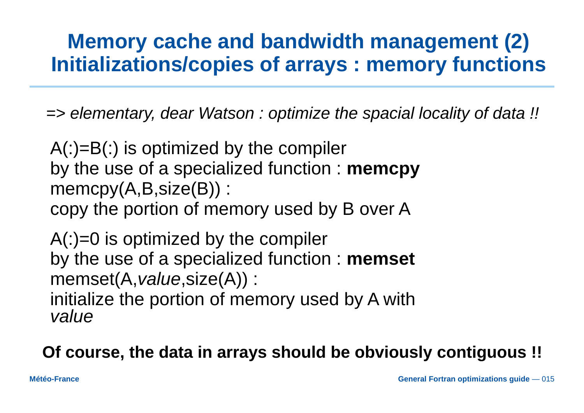### **Memory cache and bandwidth management (2) Initializations/copies of arrays : memory functions**

*=> elementary, dear Watson : optimize the spacial locality of data !!*

 $A(.) = B(.)$  is optimized by the compiler by the use of a specialized function : **memcpy** memcpy(A,B,size(B)) : copy the portion of memory used by B over A

 $A($ :)=0 is optimized by the compiler by the use of a specialized function : **memset** memset(A,*value*,size(A)) : initialize the portion of memory used by A with *value*

**Of course, the data in arrays should be obviously contiguous !!**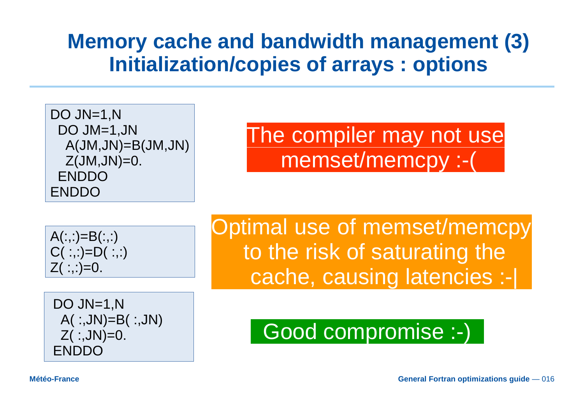### **Memory cache and bandwidth management (3) Initialization/copies of arrays : options**

DO JN=1,N DO JM=1,JN A(JM,JN)=B(JM,JN)  $Z(JM,JN)=0.$  ENDDO ENDDO

The compiler may not use memset/memcpy :-(

$$
A(:,:)=B(:,:)C(:,:)=D(:,:)Z(:,:)=0.
$$

DO JN=1,N A( :,JN)=B( :,JN)  $Z($  :, JN $)=0$ . ENDDO

Optimal use of memset/memcpy to the risk of saturating the cache, causing latencies :-|

# Good compromise :-)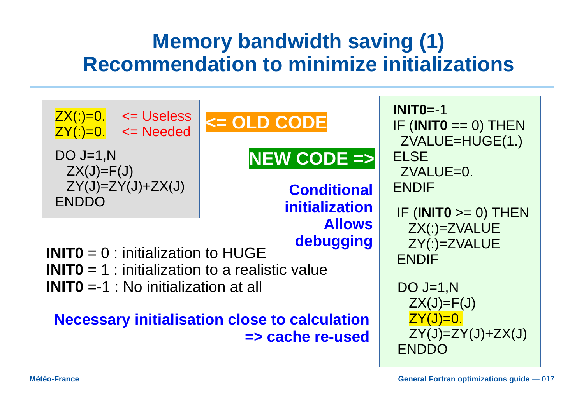### **Memory bandwidth saving (1) Recommendation to minimize initializations**

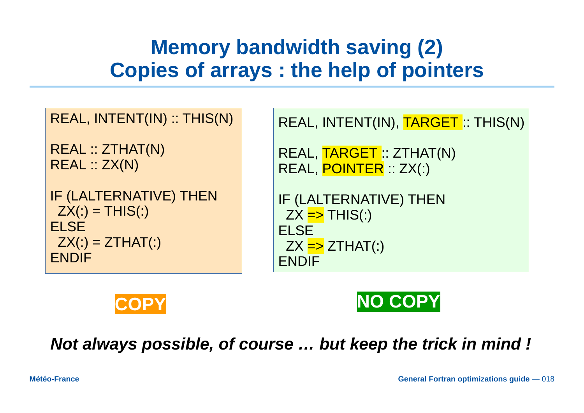### **Memory bandwidth saving (2) Copies of arrays : the help of pointers**

| REAL, INTENT(IN) :: THIS(N)                                                                      | REAL, INTENT(IN), TARGET: THIS(N)                                                                                 |
|--------------------------------------------------------------------------------------------------|-------------------------------------------------------------------------------------------------------------------|
| <b>REAL :: ZTHAT(N)</b><br>REAL :: ZX(N)                                                         | REAL, TARGET: ZTHAT(N)<br>REAL, POINTER :: ZX(:)                                                                  |
| IF (LALTERNATIVE) THEN<br>$ZX(.) = THIS(.)$<br><b>ELSE</b><br>$ZX(:) = ZTHAT(:)$<br><b>ENDIF</b> | IF (LALTERNATIVE) THEN<br>$ZX = > THIS($ :)<br><b>ELSE</b><br>$ZX = \text{\textdegree} ZTHAT$ (:)<br><b>ENDIF</b> |





*Not always possible, of course … but keep the trick in mind !*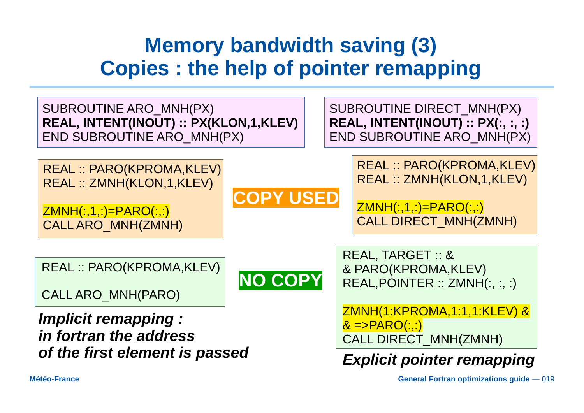### **Memory bandwidth saving (3) Copies : the help of pointer remapping**

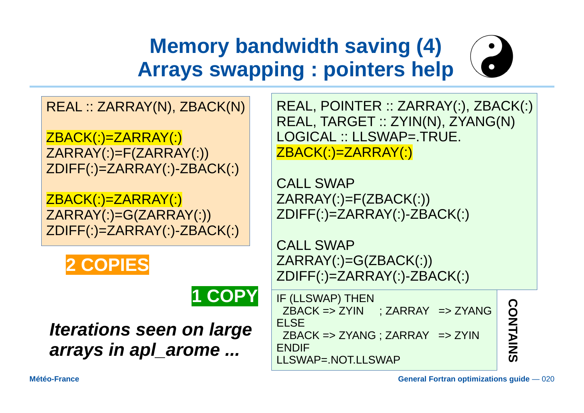# **Memory bandwidth saving (4) Arrays swapping : pointers help**

REAL :: ZARRAY(N), ZBACK(N)

ZBACK(:)=ZARRAY(:) ZARRAY(:)=F(ZARRAY(:)) ZDIFF(:)=ZARRAY(:)-ZBACK(:)

ZBACK(:)=ZARRAY(:) ZARRAY(:)=G(ZARRAY(:)) ZDIFF(:)=ZARRAY(:)-ZBACK(:)





*Iterations seen on large arrays in apl\_arome ...*

REAL, POINTER :: ZARRAY(:), ZBACK(:) REAL, TARGET :: ZYIN(N), ZYANG(N) LOGICAL :: LLSWAP=.TRUE. ZBACK(:)=ZARRAY(:)

CALL SWAP ZARRAY(:)=F(ZBACK(:)) ZDIFF(:)=ZARRAY(:)-ZBACK(:)

CALL SWAP ZARRAY(:)=G(ZBACK(:)) ZDIFF(:)=ZARRAY(:)-ZBACK(:)

IF (LLSWAP) THEN ZBACK => ZYIN ; ZARRAY => ZYANG ELSE ZBACK => ZYANG ; ZARRAY => ZYIN ENDIF LLSWAP=.NOT.LLSWAP

**C O N**

**TAIN**

**S**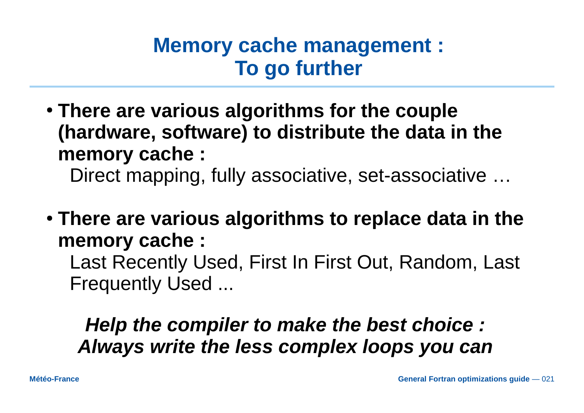### **Memory cache management : To go further**

● **There are various algorithms for the couple (hardware, software) to distribute the data in the memory cache :**

Direct mapping, fully associative, set-associative …

● **There are various algorithms to replace data in the memory cache :**

Last Recently Used, First In First Out, Random, Last Frequently Used ...

### *Help the compiler to make the best choice : Always write the less complex loops you can*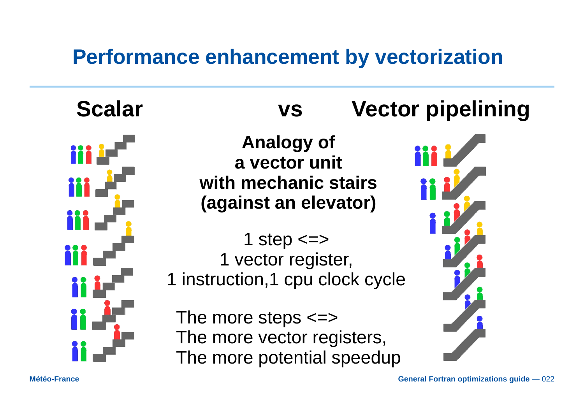### **Performance enhancement by vectorization**



 **Scalar vs Vector pipelining**

**Analogy of a vector unit with mechanic stairs (against an elevator)**

1 step  $\le$  > 1 vector register, 1 instruction,1 cpu clock cycle

The more steps <=> The more vector registers, The more potential speedup

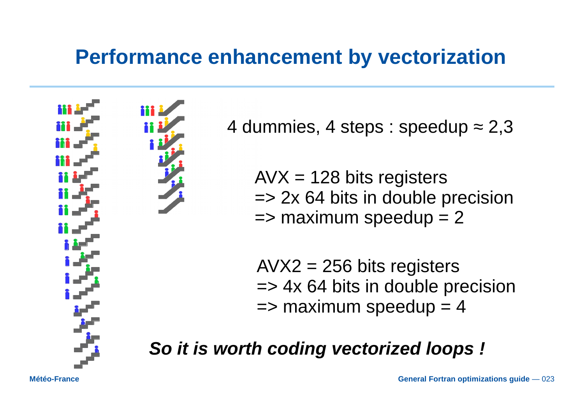### **Performance enhancement by vectorization**



4 dummies, 4 steps : speedup  $\approx$  2,3

 $AVX = 128$  bits registers => 2x 64 bits in double precision  $\Rightarrow$  maximum speedup = 2

 $AVX2 = 256$  bits registers => 4x 64 bits in double precision  $\Rightarrow$  maximum speedup = 4

*So it is worth coding vectorized loops !*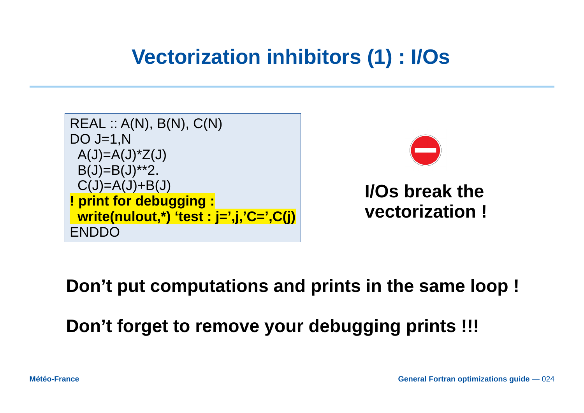### **Vectorization inhibitors (1) : I/Os**





### **I/Os break the vectorization !**

### **Don't put computations and prints in the same loop !**

**Don't forget to remove your debugging prints !!!**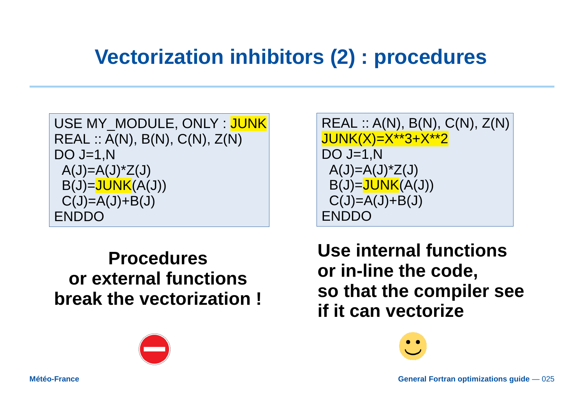### **Vectorization inhibitors (2) : procedures**

```
USE MY MODULE, ONLY : JUNK
REAL :: A(N), B(N), C(N), Z(N)
DO J=1,N
A(J) = A(J)^*Z(J)B(J)=JUNK(A(J))C(J)=A(J)+B(J)ENDDO
```
### **Procedures or external functions break the vectorization !**



REAL :: A(N), B(N), C(N), Z(N) JUNK(X)=X\*\*3+X\*\*2 DO  $J=1,N$  $A(J) = A(J)^*Z(J)$  $B(J)=JUNK(A(J))$  $C(J)=A(J)+B(J)$ ENDDO

**Use internal functions or in-line the code, so that the compiler see if it can vectorize**

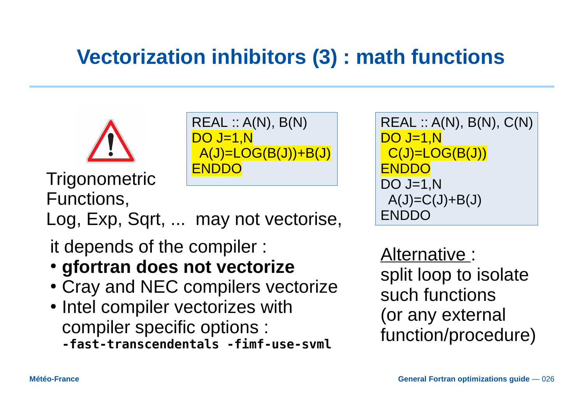### **Vectorization inhibitors (3) : math functions**



```
REAL :: A(N), B(N)
DO J=1,N
A(J)=LOG(B(J))+B(J)
```
Trigonometric ENDDO Functions,

Log, Exp, Sqrt, ... may not vectorise,

it depends of the compiler :

- gfortran does not vectorize
- Cray and NEC compilers vectorize
- Intel compiler vectorizes with compiler specific options : **-fast-transcendentals -fimf-use-svml**

```
REAL :: A(N), B(N), C(N)
DO J=1,N
 C(J)=LOG(B(J))ENDDO
DO J=1,NA(J) = C(J) + B(J)ENDDO
```
Alternative : split loop to isolate such functions (or any external function/procedure)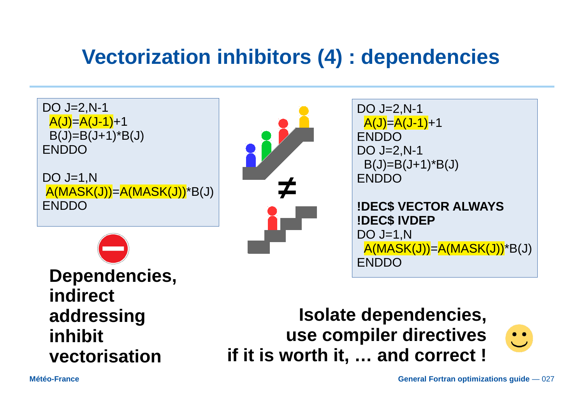### **Vectorization inhibitors (4) : dependencies**



**Dependencies, indirect addressing inhibit vectorisation**

**Isolate dependencies, use compiler directives if it is worth it, … and correct !**

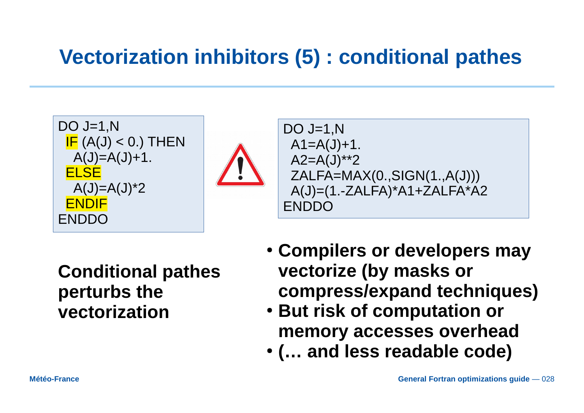### **Vectorization inhibitors (5) : conditional pathes**

$$
DO J=1,N
$$
\n
$$
IF (A(J) < 0.) THEN A(J)=A(J)+1.
$$
\n
$$
ELSE
$$
\n
$$
A(J)=A(J)^{*}2
$$
\n
$$
ENDIF
$$
\n
$$
ENDDO
$$



DO J=1,N A1=A(J)+1. A2=A(J)\*\*2 ZALFA=MAX(0.,SIGN(1.,A(J))) A(J)=(1.-ZALFA)\*A1+ZALFA\*A2 ENDDO

**Conditional pathes perturbs the vectorization**

- **Compilers or developers may vectorize (by masks or compress/expand techniques)**
- **But risk of computation or memory accesses overhead**
- **(… and less readable code)**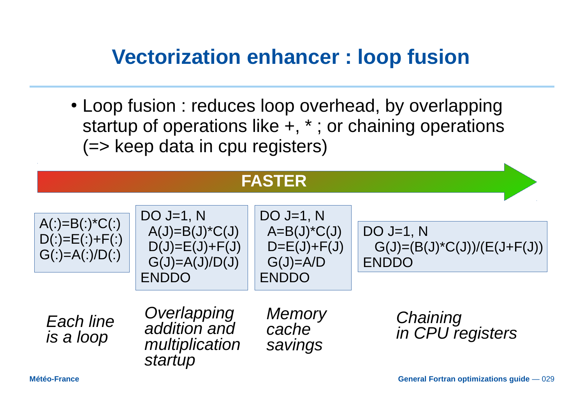### **Vectorization enhancer : loop fusion**

• Loop fusion : reduces loop overhead, by overlapping startup of operations like +, \* ; or chaining operations (=> keep data in cpu registers)

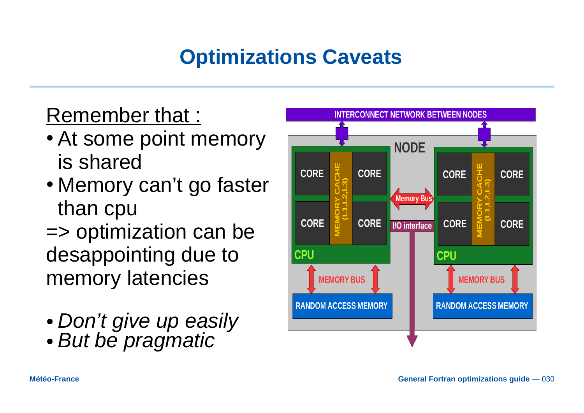# **Optimizations Caveats**

### Remember that :

- At some point memory is shared
- Memory can't go faster than cpu
- => optimization can be desappointing due to memory latencies
- *Don't give up easily*
- *But be pragmatic*

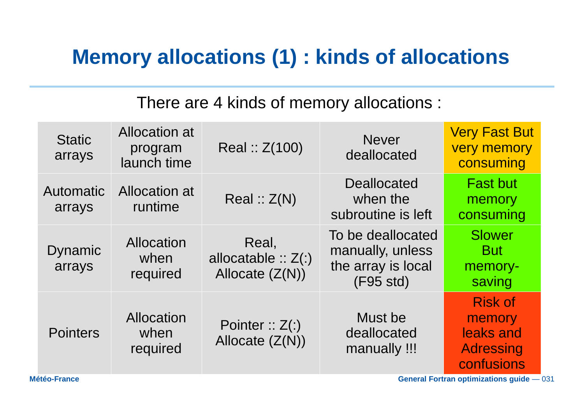### **Memory allocations (1) : kinds of allocations**

#### There are 4 kinds of memory allocations :

| <b>Static</b><br>arrays  | <b>Allocation</b> at<br>program<br>launch time | Real :: $Z(100)$                                    | <b>Never</b><br>deallocated                                              | <b>Very Fast But</b><br><b>very memory</b><br>consuming                 |
|--------------------------|------------------------------------------------|-----------------------------------------------------|--------------------------------------------------------------------------|-------------------------------------------------------------------------|
| Automatic<br>arrays      | Allocation at<br>runtime                       | Real :: Z(N)                                        | <b>Deallocated</b><br>when the<br>subroutine is left                     | <b>Fast but</b><br>memory<br>consuming                                  |
| <b>Dynamic</b><br>arrays | Allocation<br>when<br>required                 | Real,<br>allocatable $:: Z(:)$<br>Allocate $(Z(N))$ | To be deallocated<br>manually, unless<br>the array is local<br>(F95 std) | <b>Slower</b><br><b>But</b><br>memory-<br>saving                        |
| <b>Pointers</b>          | Allocation<br>when<br>required                 | Pointer :: $Z($ :)<br>Allocate $(Z(N))$             | Must be<br>deallocated<br>manually !!!                                   | <b>Risk of</b><br>memory<br>leaks and<br><b>Adressing</b><br>confusions |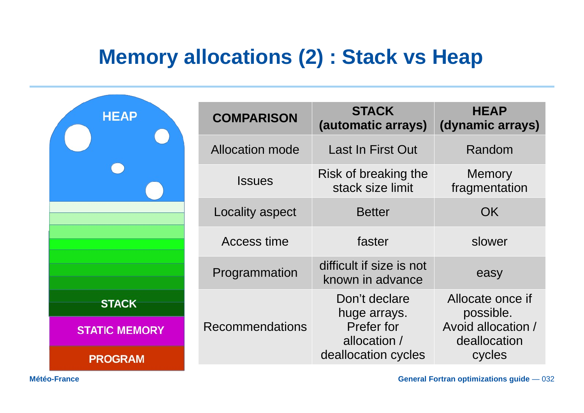### **Memory allocations (2) : Stack vs Heap**

| <b>HEAP</b>          | <b>COMPARISON</b>      | <b>STACK</b><br>(automatic arrays)           | <b>HEAP</b><br>(dynamic arrays)                                     |  |
|----------------------|------------------------|----------------------------------------------|---------------------------------------------------------------------|--|
|                      | <b>Allocation mode</b> | Last In First Out                            | Random                                                              |  |
|                      | <b>Issues</b>          | Risk of breaking the<br>stack size limit     | <b>Memory</b><br>fragmentation                                      |  |
|                      | Locality aspect        | <b>Better</b>                                | OK.                                                                 |  |
|                      | Access time            | faster                                       | slower                                                              |  |
|                      | Programmation          | difficult if size is not<br>known in advance | easy                                                                |  |
| <b>STACK</b>         |                        | Don't declare<br>huge arrays.                | Allocate once if<br>possible.<br>Avoid allocation /<br>deallocation |  |
| <b>STATIC MEMORY</b> | <b>Recommendations</b> | Prefer for<br>allocation /                   |                                                                     |  |
| <b>PROGRAM</b>       |                        | deallocation cycles                          | cycles                                                              |  |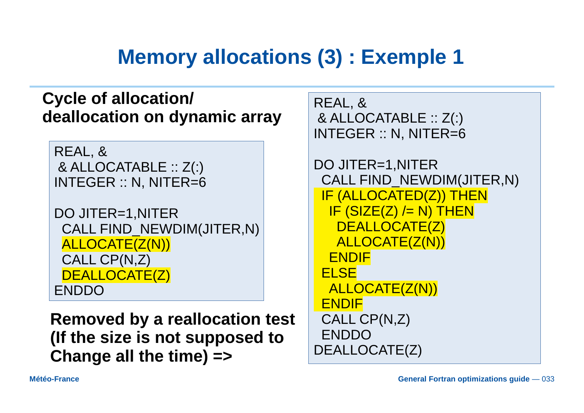### **Memory allocations (3) : Exemple 1**

#### **Cycle of allocation/ deallocation on dynamic array**

REAL, & & ALLOCATABLE :: Z(:) INTEGER :: N, NITER=6

```
DO JITER=1,NITER
 CALL FIND_NEWDIM(JITER,N)
 ALLOCATE(Z(N))
 CALL CP(N,Z)
 DEALLOCATE(Z)
ENDDO
```
**Removed by a reallocation test (If the size is not supposed to Change all the time) =>**

REAL, & & ALLOCATABLE :: Z(:) INTEGER :: N, NITER=6

```
DO JITER=1,NITER
  CALL FIND_NEWDIM(JITER,N)
  IF (ALLOCATED(Z)) THEN
  IF (SIZE(Z) /= N) THEN
    DEALLOCATE(Z)
   ALLOCATE(Z(N))
  ENDIF
  ELSE
  ALLOCATE(Z(N))
  ENDIF
  CALL CP(N,Z)
  ENDDO
DEALLOCATE(Z)
```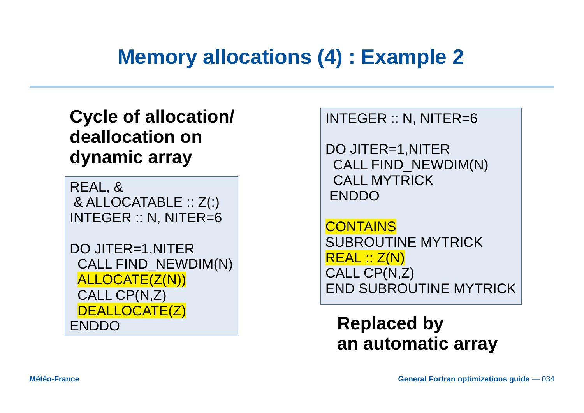### **Memory allocations (4) : Example 2**

### **Cycle of allocation/ deallocation on dynamic array**

REAL, & & ALLOCATABLE :: Z(:) INTEGER :: N, NITER=6

DO JITER=1,NITER CALL FIND\_NEWDIM(N) ALLOCATE(Z(N)) CALL CP(N,Z) DEALLOCATE<sub>(Z)</sub> ENDDO

INTEGER :: N, NITER=6

DO JITER=1,NITER CALL FIND\_NEWDIM(N) CALL MYTRICK ENDDO

**CONTAINS** SUBROUTINE MYTRICK REAL :: Z(N) CALL CP(N,Z) END SUBROUTINE MYTRICK

**Replaced by an automatic array**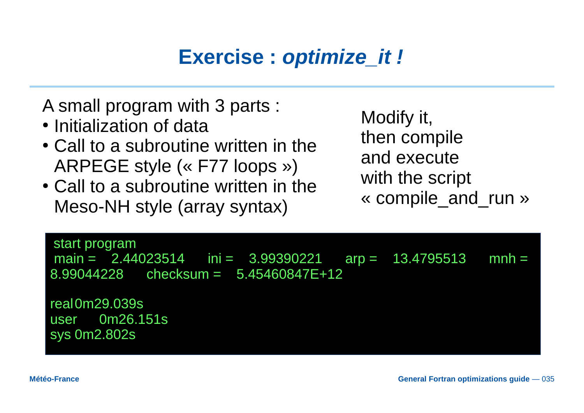# **Exercise :** *optimize\_it !*

A small program with 3 parts :

- Initialization of data
- Call to a subroutine written in the ARPEGE style (« F77 loops »)
- Call to a subroutine written in the Meso-NH style (array syntax)

Modify it, then compile and execute with the script « compile\_and\_run »

| start program<br>main = $2.44023514$ ini = $3.99390221$ arp = $13.\overline{4795513}$ mnh =<br>$8.99044228$ checksum = $5.45460847E+12$ |  |  |
|-----------------------------------------------------------------------------------------------------------------------------------------|--|--|
| real0m29.039s<br>user    0m26.151s<br>sys 0m2.802s                                                                                      |  |  |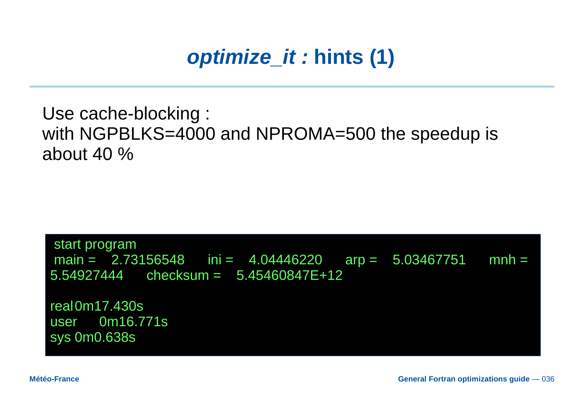# optimize\_it: hints (1)

Use cache-blocking : with NGPBLKS=4000 and NPROMA=500 the speedup is about 40  $\%$ 

start program main =  $2.73156548$  ini =  $4.04446220$  arp =  $5.03467751$  $mnh =$  $5.54927444$  checksum =  $5.45460847E+12$ 

real0m17.430s user 0m16.771s **sys 0m0.638s**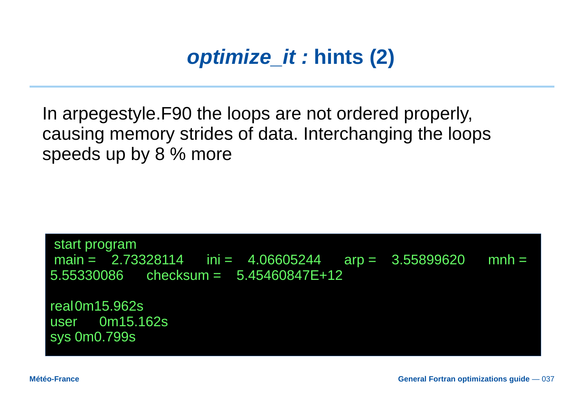### optimize it: hints (2)

In arpegestyle. F90 the loops are not ordered properly, causing memory strides of data. Interchanging the loops speeds up by 8 % more

start program main =  $2.73328114$  ini =  $4.06605244$  arp =  $3.55899620$  $mnh =$  $5.55330086$  checksum =  $5.45460847E+12$ 

real0m15.962s user 0m15.162s sys 0m0.799s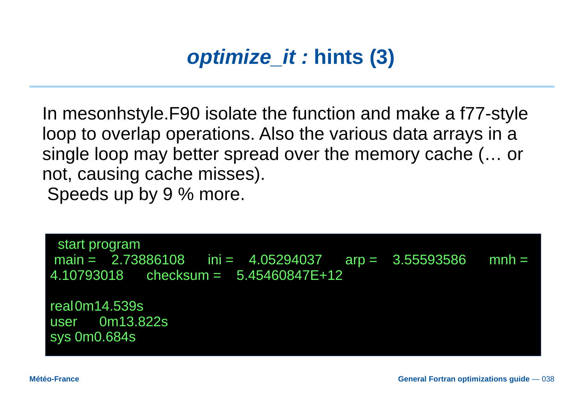# *optimize\_it :* **hints (3)**

In mesonhstyle.F90 isolate the function and make a f77-style loop to overlap operations. Also the various data arrays in a single loop may better spread over the memory cache (… or not, causing cache misses). Speeds up by 9 % more.

 start program main =  $2.73886108$  ini =  $4.05294037$  arp =  $3.55593586$  mnh = 4.10793018 checksum = 5.45460847E+12

real0m14.539s user 0m13.822s sys 0m0.684s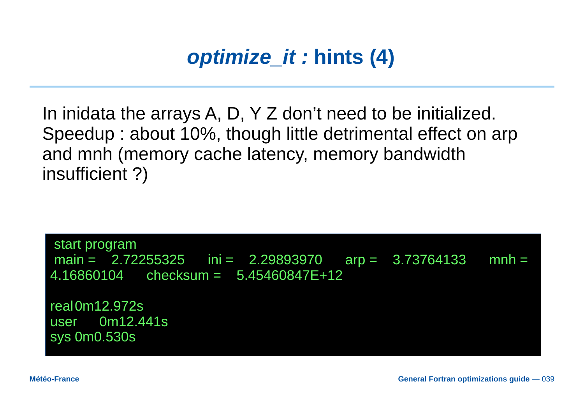# *optimize it : hints (4)*

In inidata the arrays A, D,  $Y$  Z don't need to be initialized. Speedup: about 10%, though little detrimental effect on arp and mnh (memory cache latency, memory bandwidth insufficient ?)

start program main =  $2.72255325$  ini =  $2.29893970$  arp =  $3.73764133$  $mnh =$  $4.16860104$  checksum =  $5.45460847E+12$ real0m12.972s

0m12.441s user sys 0m0.530s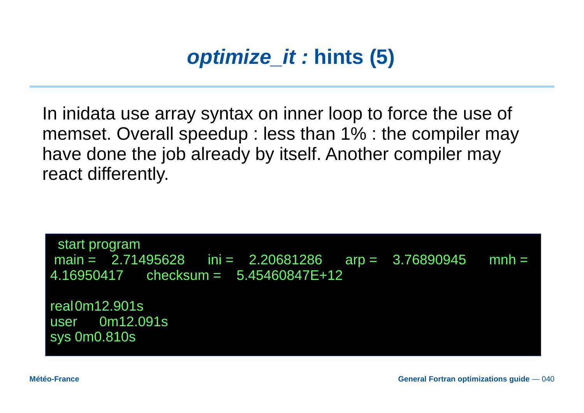

In inidata use array syntax on inner loop to force the use of memset. Overall speedup : less than 1% : the compiler may have done the job already by itself. Another compiler may react differently.

 start program main =  $2.71495628$  ini =  $2.20681286$  arp =  $3.76890945$  mnh = 4.16950417 checksum = 5.45460847E+12 real0m12.901s user 0m12.091s sys 0m0.810s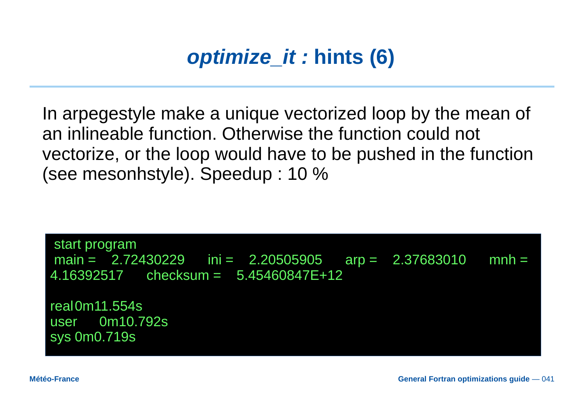

In arpegestyle make a unique vectorized loop by the mean of an inlineable function. Otherwise the function could not vectorize, or the loop would have to be pushed in the function (see mesonhstyle). Speedup : 10 %

start program main =  $2.72430229$  ini =  $2.20505905$  arp =  $2.37683010$  mnh =  $4.16392517$  checksum =  $5.45460847E+12$ real0m11.554s

user 0m10.792s sys 0m0.719s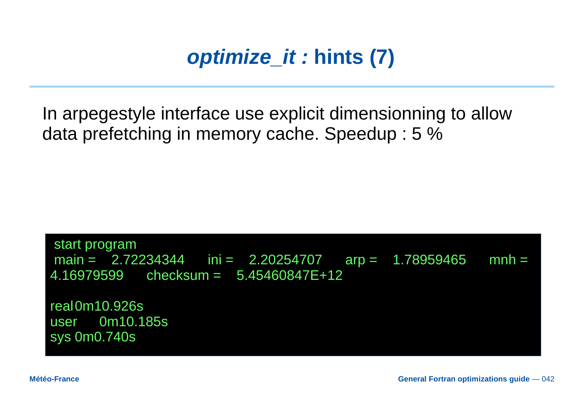### *optimize it : hints (7)*

In arpegestyle interface use explicit dimensionning to allow data prefetching in memory cache. Speedup: 5 %

start program main =  $2.72234344$  ini =  $2.20254707$  arp =  $1.78959465$  $mnh =$  $4.16979599$  checksum =  $5.45460847E+12$ 

real0m10.926s 0m10.185s user sys 0m0.740s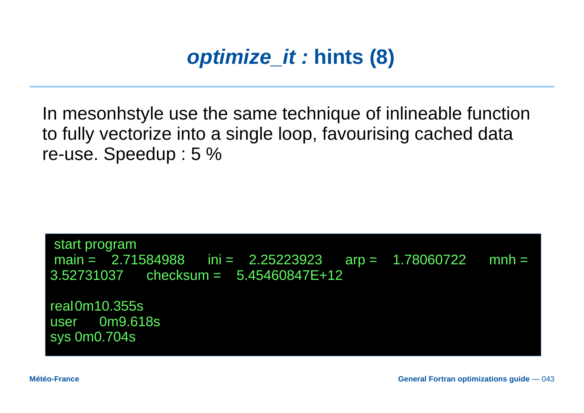### *optimize it : hints (8)*

In mesonhstyle use the same technique of inlineable function to fully vectorize into a single loop, favourising cached data re-use. Speedup: 5 %

start program main =  $2.71584988$  ini =  $2.25223923$  arp = 1.78060722  $mnh =$  $3.52731037$  checksum =  $5.45460847E+12$ 

real0m10.355s 0m9.618s user sys 0m0.704s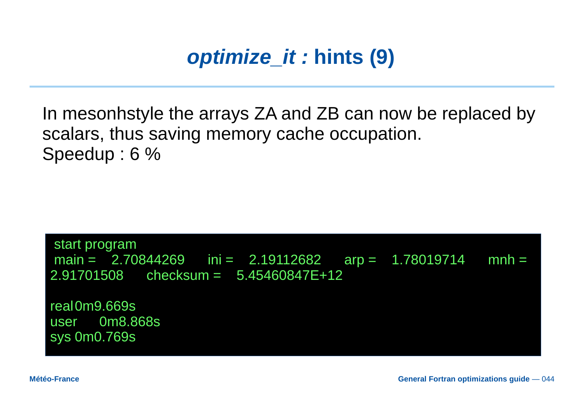### optimize it: hints (9)

In mesonhstyle the arrays ZA and ZB can now be replaced by scalars, thus saving memory cache occupation. Speedup: 6 %

start program main =  $2.70844269$  ini =  $2.19112682$  arp =  $1.78019714$  $mnh =$  $2.91701508$  checksum =  $5.45460847E+12$ 

real0m9.669s user 0m8.868s sys 0m0.769s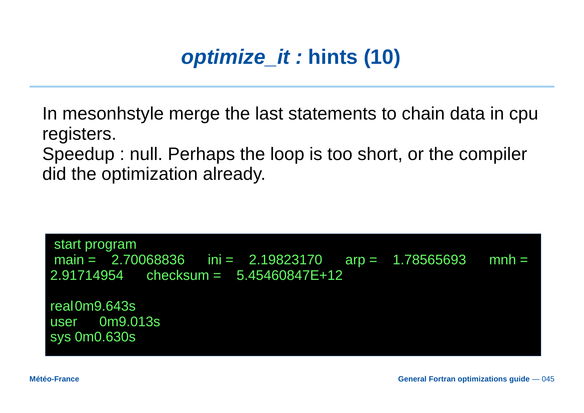# optimize it : hints (10)

In mesonhstyle merge the last statements to chain data in cpu registers.

Speedup: null. Perhaps the loop is too short, or the compiler did the optimization already.

start program main =  $2.70068836$  ini =  $2.19823170$  arp =  $1.78565693$  $mnh =$  $2.91714954$  checksum =  $5.45460847E+12$ real0m9.643s 0m9.013s user sys 0m0.630s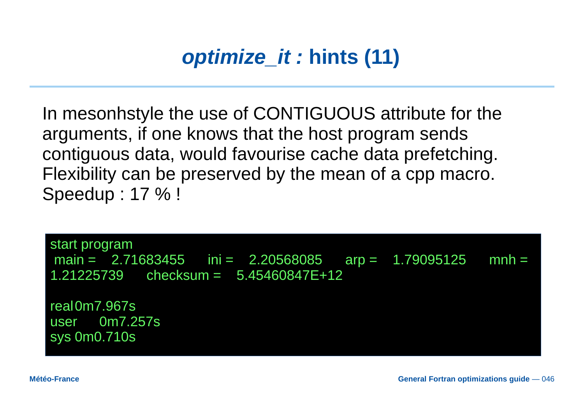### optimize it : hints (11)

In mesonhstyle the use of CONTIGUOUS attribute for the arguments, if one knows that the host program sends contiguous data, would favourise cache data prefetching. Flexibility can be preserved by the mean of a cpp macro. Speedup: 17 % !

start program main =  $2.71683455$  ini =  $2.20568085$  arp = 1.79095125  $mnh =$  $1.21225739$  checksum =  $5.45460847E+12$ real 0m7.967s

user 0m7.257s sys 0m0.710s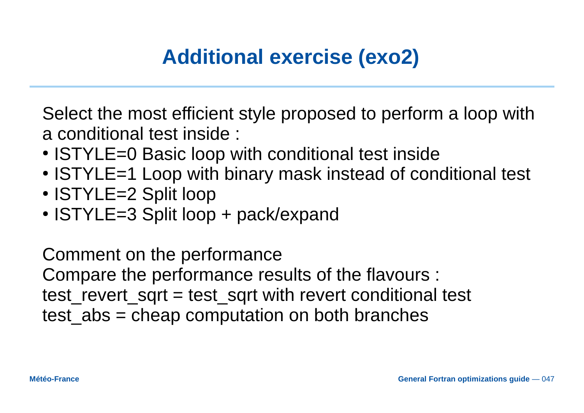# **Additional exercise (exo2)**

Select the most efficient style proposed to perform a loop with a conditional test inside :

- ISTYLE=0 Basic loop with conditional test inside
- ISTYLE=1 Loop with binary mask instead of conditional test
- ISTYLE=2 Split loop
- $\cdot$  ISTYLE=3 Split loop + pack/expand

Comment on the performance Compare the performance results of the flavours : test revert sqrt = test sqrt with revert conditional test test  $abs$  = cheap computation on both branches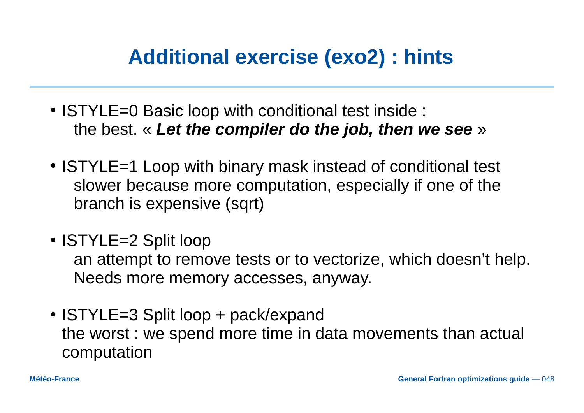### **Additional exercise (exo2) : hints**

- ISTYLE=0 Basic loop with conditional test inside : the best. « *Let the compiler do the job, then we see* »
- ISTYLE=1 Loop with binary mask instead of conditional test slower because more computation, especially if one of the branch is expensive (sqrt)
- ISTYLE=2 Split loop

an attempt to remove tests or to vectorize, which doesn't help. Needs more memory accesses, anyway.

 $\cdot$  ISTYLE=3 Split loop  $+$  pack/expand the worst : we spend more time in data movements than actual computation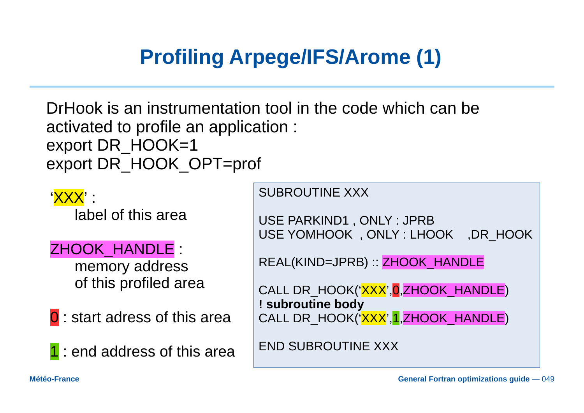# **Profiling Arpege/IFS/Arome (1)**

DrHook is an instrumentation tool in the code which can be activated to profile an application : export DR\_HOOK=1 export DR\_HOOK\_OPT=prof

'XXX' : label of this area

ZHOOK\_HANDLE :

memory address of this profiled area

**0** : start adress of this area

1 : end address of this area

SUBROUTINE XXX

USE PARKIND1 , ONLY : JPRB USE YOMHOOK , ONLY : LHOOK ,DR\_HOOK

REAL(KIND=JPRB) :: ZHOOK\_HANDLE

CALL DR\_HOOK('XXX', 0, ZHOOK\_HANDLE) **! subroutine body** CALL DR\_HOOK('XXX',1,ZHOOK\_HANDLE)

END SUBROUTINE XXX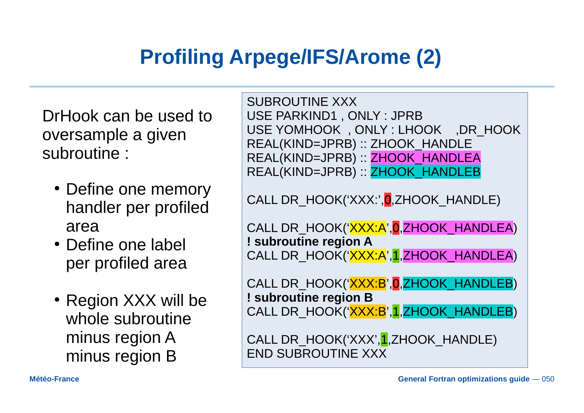### **Profiling Arpege/IFS/Arome (2)**

DrHook can be used to oversample a given subroutine :

- Define one memory handler per profiled area
- Define one label per profiled area
- Region XXX will be whole subroutine minus region A minus region B

SUBROUTINE XXX USE PARKIND1 , ONLY : JPRB USE YOMHOOK , ONLY : LHOOK ,DR\_HOOK REAL(KIND=JPRB) :: ZHOOK\_HANDLE REAL(KIND=JPRB) :: ZHOOK\_HANDLEA REAL(KIND=JPRB) :: ZHOOK\_HANDLEB

CALL DR\_HOOK('XXX:', 0, ZHOOK\_HANDLE)

CALL DR\_HOOK('XXX:A',0,ZHOOK\_HANDLEA) **! subroutine region A** CALL DR\_HOOK('XXX:A',1,ZHOOK\_HANDLEA)

CALL DR\_HOOK('XXX:B', 0, ZHOOK\_HANDLEB) **! subroutine region B** CALL DR\_HOOK('XXX:B',1,ZHOOK\_HANDLEB)

CALL DR\_HOOK('XXX', 1, ZHOOK\_HANDLE) END SUBROUTINE XXX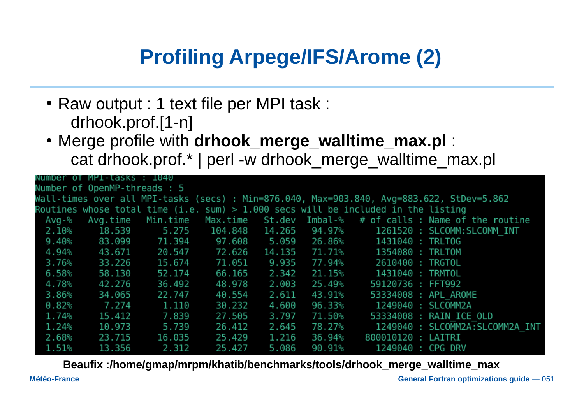# **Profiling Arpege/IFS/Arome (2)**

- Raw output : 1 text file per MPI task : drhook.prof.[1-n]
- Merge profile with **drhook\_merge\_walltime\_max.pl** : cat drhook.prof.\* | perl -w drhook\_merge\_walltime\_max.pl

|          | Number of MP1-tasks : 1040        |        |               |        |           |                                                                                     |                                                                                           |
|----------|-----------------------------------|--------|---------------|--------|-----------|-------------------------------------------------------------------------------------|-------------------------------------------------------------------------------------------|
|          | Number of OpenMP-threads : 5      |        |               |        |           |                                                                                     |                                                                                           |
|          |                                   |        |               |        |           |                                                                                     | Wall-times over all MPI-tasks (secs) : Min=876.040, Max=903.840, Avg=883.622, StDev=5.862 |
|          |                                   |        |               |        |           | Routines whose total time (i.e. sum) $> 1.000$ secs will be included in the listing |                                                                                           |
| Avq-%    |                                   |        |               |        |           |                                                                                     | Avg.time Min.time Max.time St.dev Imbal-% # of calls: Name of the routine                 |
|          | 2.10% 18.539 5.275 104.848 14.265 |        |               |        | 94․97%    |                                                                                     | 1261520 : SLCOMM:SLCOMM INT                                                               |
| $9.40\%$ | 83.099 71.394                     |        | 97.608 5.059  |        | 26․86%    | 1431040 : TRLTOG                                                                    |                                                                                           |
| 4․94%    | 43.671                            |        | 20.547 72.626 | 14.135 | 71․71%    | 1354080 : TRLTOM                                                                    |                                                                                           |
| 3.76%    | 33.226                            | 15.674 | 71.051        | 9.935  | 77․94%    | 2610400 : TRGTOL                                                                    |                                                                                           |
| 6.58%    | 58.130                            | 52.174 | 66.165        | 2.342  | $21.15\%$ | 1431040 : TRMTOL                                                                    |                                                                                           |
| 4.78%    | 42.276                            | 36.492 | 48.978        | 2.003  | 25․49%    | 59120736 : FFT992                                                                   |                                                                                           |
| 3.86%    | 34.065                            | 22.747 | 40.554        | 2.611  | 43․91%    |                                                                                     | 53334008 : APL AROME                                                                      |
| 0.82%    | 7.274                             | 1.110  | 30.232        | 4.600  | 96.33%    |                                                                                     | 1249040 : SLCOMM2A                                                                        |
| 1.74%    | 15.412                            | 7.839  | 27.505        | 3.797  | 71․50%    |                                                                                     | 53334008 : RAIN ICE OLD                                                                   |
| $1.24\%$ | 10.973                            | 5.739  | 26.412        | 2.645  | 78․27%    |                                                                                     | 1249040 : SLCOMM2A:SLCOMM2A INT                                                           |
| 2.68%    | 23.715                            | 16.035 | 25.429        | 1.216  | 36.94%    | 800010120 : LAITRI                                                                  |                                                                                           |
| 1.51%    | 13.356                            | 2.312  | 25.427        | 5.086  | $90.91\%$ | 1249040 : CPG DRV                                                                   |                                                                                           |

**Beaufix :/home/gmap/mrpm/khatib/benchmarks/tools/drhook\_merge\_walltime\_max**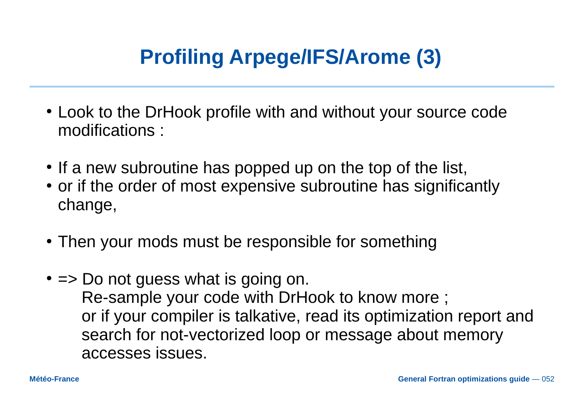# **Profiling Arpege/IFS/Arome (3)**

- Look to the DrHook profile with and without your source code modifications :
- If a new subroutine has popped up on the top of the list,
- or if the order of most expensive subroutine has significantly change,
- Then your mods must be responsible for something
- $\bullet$  => Do not quess what is going on. Re-sample your code with DrHook to know more ; or if your compiler is talkative, read its optimization report and search for not-vectorized loop or message about memory accesses issues.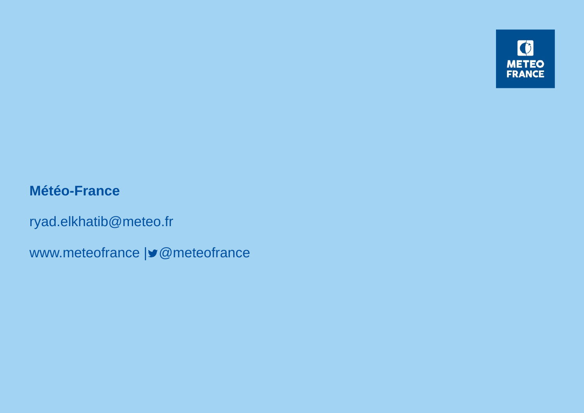

#### **Météo-France**

ryad.elkhatib@meteo.fr

www.meteofrance | @meteofrance